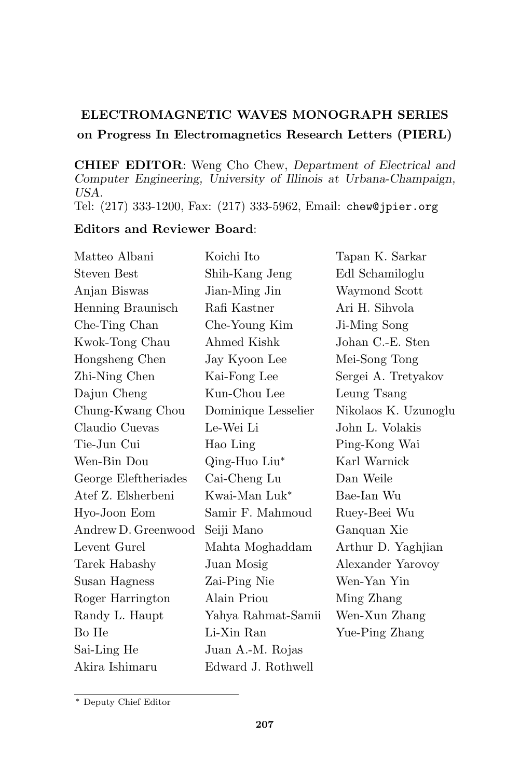## ELECTROMAGNETIC WAVES MONOGRAPH SERIES on Progress In Electromagnetics Research Letters (PIERL)

CHIEF EDITOR: Weng Cho Chew, Department of Electrical and Computer Engineering, University of Illinois at Urbana-Champaign, USA.

Tel: (217) 333-1200, Fax: (217) 333-5962, Email: chew@jpier.org

## Editors and Reviewer Board:

| Matteo Albani        | Koichi Ito                | Tapan K. Sarkar      |
|----------------------|---------------------------|----------------------|
| Steven Best          | Shih-Kang Jeng            | Edl Schamiloglu      |
| Anjan Biswas         | Jian-Ming Jin             | Waymond Scott        |
| Henning Braunisch    | Rafi Kastner              | Ari H. Sihvola       |
| Che-Ting Chan        | Che-Young Kim             | Ji-Ming Song         |
| Kwok-Tong Chau       | Ahmed Kishk               | Johan C.-E. Sten     |
| Hongsheng Chen       | Jay Kyoon Lee             | Mei-Song Tong        |
| Zhi-Ning Chen        | Kai-Fong Lee              | Sergei A. Tretyakov  |
| Dajun Cheng          | Kun-Chou Lee              | Leung Tsang          |
| Chung-Kwang Chou     | Dominique Lesselier       | Nikolaos K. Uzunoglu |
| Claudio Cuevas       | Le-Wei Li                 | John L. Volakis      |
| Tie-Jun Cui          | Hao Ling                  | Ping-Kong Wai        |
| Wen-Bin Dou          | Qing-Huo Liu*             | Karl Warnick         |
| George Eleftheriades | Cai-Cheng Lu              | Dan Weile            |
| Atef Z. Elsherbeni   | Kwai-Man Luk <sup>*</sup> | Bae-Ian Wu           |
| Hyo-Joon Eom         | Samir F. Mahmoud          | Ruey-Beei Wu         |
| Andrew D. Greenwood  | Seiji Mano                | Ganquan Xie          |
| Levent Gurel         | Mahta Moghaddam           | Arthur D. Yaghjian   |
| Tarek Habashy        | Juan Mosig                | Alexander Yarovoy    |
| Susan Hagness        | Zai-Ping Nie              | Wen-Yan Yin          |
| Roger Harrington     | Alain Priou               | Ming Zhang           |
| Randy L. Haupt       | Yahya Rahmat-Samii        | Wen-Xun Zhang        |
| Bo He                | Li-Xin Ran                | Yue-Ping Zhang       |
| Sai-Ling He          | Juan A.-M. Rojas          |                      |
| Akira Ishimaru       | Edward J. Rothwell        |                      |

<sup>∗</sup> Deputy Chief Editor